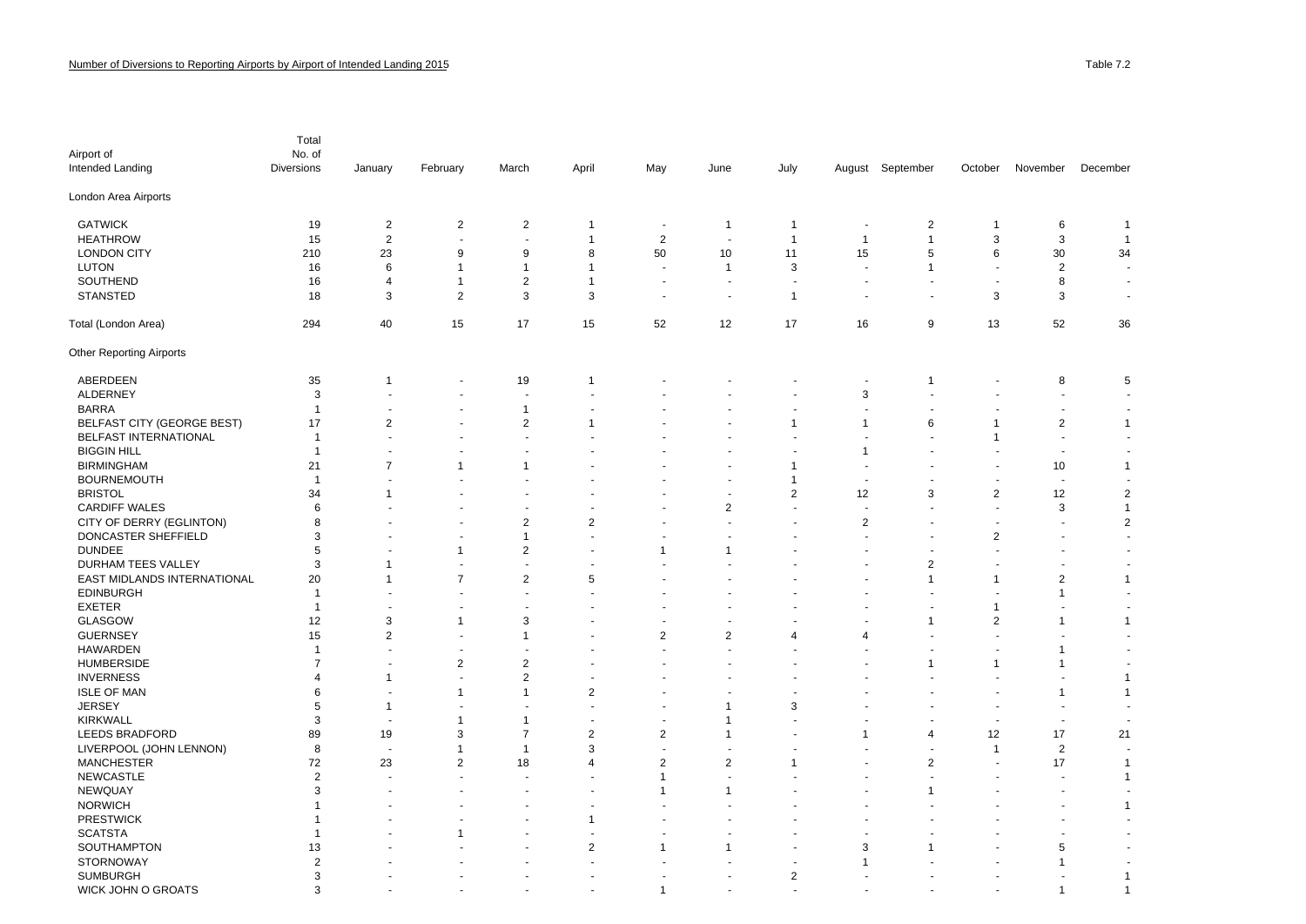| Airport of<br>Intended Landing    | Total<br>No. of<br><b>Diversions</b> | January              | February                 | March                    | April                   | May                      | June                     | July                     | August                   | September      | October              | November                 | December                 |
|-----------------------------------|--------------------------------------|----------------------|--------------------------|--------------------------|-------------------------|--------------------------|--------------------------|--------------------------|--------------------------|----------------|----------------------|--------------------------|--------------------------|
| London Area Airports              |                                      |                      |                          |                          |                         |                          |                          |                          |                          |                |                      |                          |                          |
| <b>GATWICK</b>                    | 19                                   | $\overline{2}$       | $\overline{2}$           | $\overline{2}$           | 1                       | $\overline{\phantom{a}}$ | $\mathbf{1}$             | $\overline{1}$           | ٠.                       | $\overline{c}$ | -1                   | 6                        | $\mathbf{1}$             |
| <b>HEATHROW</b>                   | 15                                   | $\boldsymbol{2}$     | $\ddot{\phantom{1}}$     | $\overline{\phantom{a}}$ | $\mathbf{1}$            | $\overline{2}$           | $\overline{\phantom{a}}$ | $\overline{1}$           | $\overline{1}$           | $\mathbf{1}$   | 3                    | 3                        | $\overline{1}$           |
| <b>LONDON CITY</b>                | 210                                  | 23                   | 9                        | 9                        | 8                       | 50                       | 10                       | 11                       | 15                       | 5              | 6                    | 30                       | 34                       |
| <b>LUTON</b>                      | 16                                   | 6                    | -1                       | 1                        | $\mathbf{1}$            |                          | $\mathbf{1}$             | 3                        | J.                       | $\mathbf{1}$   | $\overline{a}$       | $\overline{2}$           |                          |
| SOUTHEND                          | 16                                   | 4                    | $\mathbf{1}$             | 2                        | $\mathbf{1}$            |                          | $\blacksquare$           | $\overline{\phantom{a}}$ |                          |                | $\blacksquare$       | 8                        | $\blacksquare$           |
| STANSTED                          | 18                                   | 3                    | $\overline{2}$           | 3                        | 3                       |                          | $\overline{a}$           | $\overline{1}$           |                          |                | 3                    | 3                        | $\sim$                   |
| Total (London Area)               | 294                                  | 40                   | 15                       | 17                       | 15                      | 52                       | 12                       | 17                       | 16                       | 9              | 13                   | 52                       | 36                       |
| <b>Other Reporting Airports</b>   |                                      |                      |                          |                          |                         |                          |                          |                          |                          |                |                      |                          |                          |
| ABERDEEN                          | 35                                   | -1                   | $\overline{\phantom{a}}$ | 19                       | $\mathbf{1}$            |                          |                          |                          | $\overline{a}$           | $\overline{1}$ |                      | 8                        | 5                        |
| <b>ALDERNEY</b>                   | 3                                    |                      |                          | ÷,                       |                         |                          |                          |                          | 3                        |                |                      | ÷,                       |                          |
| <b>BARRA</b>                      | $\mathbf 1$                          |                      |                          | $\mathbf{1}$             |                         |                          |                          |                          |                          |                |                      | $\overline{\phantom{a}}$ |                          |
| <b>BELFAST CITY (GEORGE BEST)</b> | 17                                   | $\overline{2}$       |                          | $\overline{2}$           | 1                       |                          |                          | $\mathbf{1}$             | $\mathbf{1}$             | 6              | -1                   | $\overline{2}$           | $\mathbf{1}$             |
| <b>BELFAST INTERNATIONAL</b>      | $\mathbf{1}$                         |                      |                          | $\overline{a}$           |                         |                          |                          | J.                       | J.                       |                | -1                   | ÷.                       | $\sim$                   |
| <b>BIGGIN HILL</b>                | $\mathbf{1}$                         |                      |                          | $\overline{\phantom{a}}$ |                         |                          |                          | $\overline{\phantom{a}}$ | $\overline{1}$           |                |                      | ÷,                       |                          |
| <b>BIRMINGHAM</b>                 | 21                                   | $\overline{7}$       | -1                       | 1                        |                         |                          |                          | $\mathbf{1}$             | $\overline{a}$           |                | $\ddot{\phantom{1}}$ | 10                       | $\mathbf{1}$             |
| <b>BOURNEMOUTH</b>                | $\overline{1}$                       |                      |                          |                          |                         |                          |                          | $\mathbf{1}$             |                          |                |                      | $\overline{a}$           |                          |
| <b>BRISTOL</b>                    | 34                                   |                      |                          |                          |                         |                          |                          | $\overline{2}$           | 12                       | 3              | $\boldsymbol{2}$     | 12                       | $\overline{\mathbf{c}}$  |
| <b>CARDIFF WALES</b>              | 6                                    |                      |                          |                          |                         |                          | $\overline{c}$           | $\overline{\phantom{a}}$ | $\overline{\phantom{a}}$ |                | ä,                   | 3                        | $\mathbf{1}$             |
| CITY OF DERRY (EGLINTON)          | 8                                    |                      |                          | $\overline{c}$           | $\mathbf 2$             |                          |                          |                          | $\boldsymbol{2}$         |                |                      | $\ddot{\phantom{0}}$     | $\overline{\mathbf{c}}$  |
| DONCASTER SHEFFIELD               | 3                                    |                      | ٠                        | $\mathbf{1}$             |                         |                          |                          |                          | ÷.                       |                | $\boldsymbol{2}$     | $\overline{a}$           | $\sim$                   |
| <b>DUNDEE</b>                     | 5                                    |                      | -1                       | $\overline{2}$           |                         | $\overline{1}$           | -1                       |                          |                          |                |                      |                          |                          |
| <b>DURHAM TEES VALLEY</b>         | 3                                    | -1                   |                          | $\overline{a}$           |                         |                          |                          |                          |                          | $\overline{2}$ |                      |                          |                          |
| EAST MIDLANDS INTERNATIONAL       | 20                                   | -1                   | $\overline{7}$           | $\overline{2}$           | 5                       |                          |                          |                          |                          | -1             | -1                   | $\overline{\mathbf{c}}$  | $\mathbf{1}$             |
| <b>EDINBURGH</b>                  | -1                                   |                      | $\blacksquare$           | $\overline{a}$           |                         |                          |                          |                          |                          |                | $\ddot{\phantom{1}}$ | 1                        |                          |
| <b>EXETER</b>                     | $\mathbf{1}$                         | ٠                    | ٠                        | $\ddot{\phantom{0}}$     |                         |                          |                          |                          |                          |                | -1                   | $\overline{\phantom{a}}$ |                          |
| <b>GLASGOW</b>                    | 12                                   | 3                    | -1                       | 3                        |                         |                          |                          |                          |                          | 1              | $\overline{2}$       | 1                        | $\mathbf{1}$             |
| <b>GUERNSEY</b>                   | 15                                   | $\overline{2}$       | ÷                        | $\mathbf 1$              |                         | $\overline{\mathbf{c}}$  | $\overline{c}$           | $\overline{4}$           | $\overline{4}$           |                |                      |                          | $\overline{\phantom{a}}$ |
| <b>HAWARDEN</b>                   | $\mathbf{1}$                         |                      | ٠                        | $\overline{\phantom{a}}$ |                         |                          |                          |                          |                          |                |                      | 1                        |                          |
| <b>HUMBERSIDE</b>                 | $\overline{7}$                       | $\ddot{\phantom{1}}$ | $\overline{2}$           | $\overline{2}$           |                         |                          |                          |                          |                          | 1              | -1                   | 1                        |                          |
| <b>INVERNESS</b>                  | 4                                    | $\mathbf 1$          |                          | 2                        |                         |                          |                          |                          |                          |                |                      |                          | $\mathbf{1}$             |
| <b>ISLE OF MAN</b>                | 6                                    |                      | -1                       | $\overline{1}$           | $\overline{2}$          |                          |                          |                          |                          |                |                      | $\mathbf 1$              | $\mathbf{1}$             |
| <b>JERSEY</b>                     | 5                                    | -1                   |                          | $\ddot{\phantom{0}}$     |                         |                          | $\mathbf 1$              | 3                        |                          |                |                      | $\overline{\phantom{a}}$ | $\overline{\phantom{a}}$ |
| <b>KIRKWALL</b>                   | 3                                    | ÷.                   | -1                       | $\mathbf 1$              |                         |                          | $\mathbf 1$              |                          |                          |                |                      | ÷,                       |                          |
| <b>LEEDS BRADFORD</b>             | 89                                   | 19                   | 3                        | $\overline{7}$           | $\overline{2}$          | $\overline{2}$           | $\mathbf 1$              |                          | $\mathbf{1}$             | 4              | 12                   | 17                       | 21                       |
| LIVERPOOL (JOHN LENNON)           | 8                                    |                      | $\mathbf 1$              | $\mathbf{1}$             | 3                       |                          |                          |                          |                          |                | $\overline{1}$       | $\overline{2}$           |                          |
| <b>MANCHESTER</b>                 | 72                                   | 23                   | $\overline{2}$           | 18                       | $\overline{4}$          | $\overline{2}$           | $\overline{2}$           | -1                       |                          | 2              |                      | 17                       | $\mathbf{1}$             |
| <b>NEWCASTLE</b>                  | $\overline{2}$                       |                      | ÷.                       | $\overline{a}$           | $\overline{a}$          | $\overline{1}$           |                          |                          |                          |                | $\ddot{\phantom{1}}$ | $\ddot{\phantom{0}}$     | $\mathbf{1}$             |
| <b>NEWQUAY</b>                    | 3                                    |                      |                          |                          |                         | $\mathbf{1}$             | $\mathbf 1$              |                          |                          | 1              |                      |                          | $\blacksquare$           |
| <b>NORWICH</b>                    | -1                                   |                      |                          |                          |                         |                          |                          |                          |                          |                |                      |                          | $\mathbf{1}$             |
| <b>PRESTWICK</b>                  | -1                                   |                      |                          |                          | $\mathbf{1}$            |                          |                          |                          |                          |                |                      |                          |                          |
| <b>SCATSTA</b>                    | $\mathbf 1$                          |                      | -1                       |                          |                         |                          |                          |                          |                          |                |                      |                          |                          |
| SOUTHAMPTON                       | 13                                   |                      |                          |                          | $\overline{\mathbf{c}}$ | $\overline{1}$           | $\mathbf 1$              | $\overline{\phantom{a}}$ | 3                        | 1              |                      | 5                        |                          |
| <b>STORNOWAY</b>                  | $\overline{2}$                       |                      |                          |                          |                         |                          |                          | $\sim$                   | $\overline{1}$           |                | $\blacksquare$       | 1                        | $\overline{\phantom{a}}$ |
| <b>SUMBURGH</b>                   | 3                                    |                      |                          |                          |                         |                          |                          | $\overline{2}$           |                          |                |                      |                          | $\mathbf{1}$             |
| WICK JOHN O GROATS                | 3                                    |                      |                          |                          |                         |                          |                          |                          |                          |                |                      | 1                        | $\overline{1}$           |